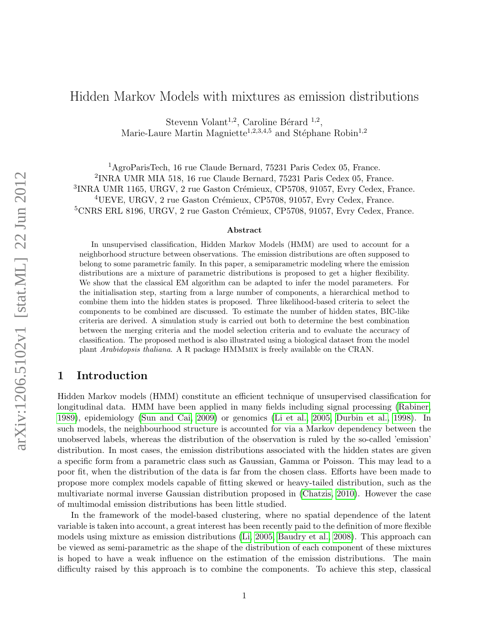# Hidden Markov Models with mixtures as emission distributions

Stevenn Volant<sup>1,2</sup>, Caroline Bérard<sup>1,2</sup>, Marie-Laure Martin Magniette<sup>1,2,3,4,5</sup> and Stéphane Robin<sup>1,2</sup>

<sup>1</sup>AgroParisTech, 16 rue Claude Bernard, 75231 Paris Cedex 05, France. 2 INRA UMR MIA 518, 16 rue Claude Bernard, 75231 Paris Cedex 05, France. <sup>3</sup>INRA UMR 1165, URGV, 2 rue Gaston Crémieux, CP5708, 91057, Evry Cedex, France.  ${}^{4}$ UEVE, URGV, 2 rue Gaston Crémieux, CP5708, 91057, Evry Cedex, France.  ${}^{5}$ CNRS ERL 8196, URGV, 2 rue Gaston Crémieux, CP5708, 91057, Evry Cedex, France.

#### Abstract

In unsupervised classification, Hidden Markov Models (HMM) are used to account for a neighborhood structure between observations. The emission distributions are often supposed to belong to some parametric family. In this paper, a semiparametric modeling where the emission distributions are a mixture of parametric distributions is proposed to get a higher flexibility. We show that the classical EM algorithm can be adapted to infer the model parameters. For the initialisation step, starting from a large number of components, a hierarchical method to combine them into the hidden states is proposed. Three likelihood-based criteria to select the components to be combined are discussed. To estimate the number of hidden states, BIC-like criteria are derived. A simulation study is carried out both to determine the best combination between the merging criteria and the model selection criteria and to evaluate the accuracy of classification. The proposed method is also illustrated using a biological dataset from the model plant Arabidopsis thaliana. A R package HMMmix is freely available on the CRAN.

## 1 Introduction

Hidden Markov models (HMM) constitute an efficient technique of unsupervised classification for longitudinal data. HMM have been applied in many fields including signal processing [\(Rabiner,](#page-14-0) [1989\)](#page-14-0), epidemiology [\(Sun and Cai, 2009\)](#page-14-1) or genomics [\(Li et al., 2005,](#page-14-2) [Durbin et al., 1998\)](#page-13-0). In such models, the neighbourhood structure is accounted for via a Markov dependency between the unobserved labels, whereas the distribution of the observation is ruled by the so-called 'emission' distribution. In most cases, the emission distributions associated with the hidden states are given a specific form from a parametric class such as Gaussian, Gamma or Poisson. This may lead to a poor fit, when the distribution of the data is far from the chosen class. Efforts have been made to propose more complex models capable of fitting skewed or heavy-tailed distribution, such as the multivariate normal inverse Gaussian distribution proposed in [\(Chatzis, 2010\)](#page-13-1). However the case of multimodal emission distributions has been little studied.

In the framework of the model-based clustering, where no spatial dependence of the latent variable is taken into account, a great interest has been recently paid to the definition of more flexible models using mixture as emission distributions [\(Li, 2005,](#page-14-3) [Baudry et al., 2008\)](#page-13-2). This approach can be viewed as semi-parametric as the shape of the distribution of each component of these mixtures is hoped to have a weak influence on the estimation of the emission distributions. The main difficulty raised by this approach is to combine the components. To achieve this step, classical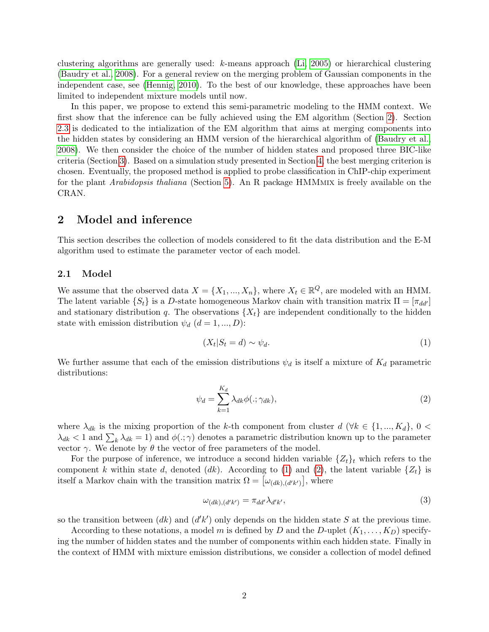clustering algorithms are generally used: k-means approach [\(Li, 2005\)](#page-14-3) or hierarchical clustering [\(Baudry et al., 2008\)](#page-13-2). For a general review on the merging problem of Gaussian components in the independent case, see [\(Hennig, 2010\)](#page-13-3). To the best of our knowledge, these approaches have been limited to independent mixture models until now.

In this paper, we propose to extend this semi-parametric modeling to the HMM context. We first show that the inference can be fully achieved using the EM algorithm (Section [2\)](#page-1-0). Section [2.3](#page-3-0) is dedicated to the intialization of the EM algorithm that aims at merging components into the hidden states by considering an HMM version of the hierarchical algorithm of [\(Baudry et al.,](#page-13-2) [2008\)](#page-13-2). We then consider the choice of the number of hidden states and proposed three BIC-like criteria (Section [3\)](#page-3-1). Based on a simulation study presented in Section [4,](#page-5-0) the best merging criterion is chosen. Eventually, the proposed method is applied to probe classification in ChIP-chip experiment for the plant Arabidopsis thaliana (Section [5\)](#page-11-0). An R package HMMmix is freely available on the CRAN.

### <span id="page-1-0"></span>2 Model and inference

This section describes the collection of models considered to fit the data distribution and the E-M algorithm used to estimate the parameter vector of each model.

#### 2.1 Model

We assume that the observed data  $X = \{X_1, ..., X_n\}$ , where  $X_t \in \mathbb{R}^Q$ , are modeled with an HMM. The latent variable  $\{S_t\}$  is a D-state homogeneous Markov chain with transition matrix  $\Pi = [\pi_{dd'}]$ and stationary distribution q. The observations  $\{X_t\}$  are independent conditionally to the hidden state with emission distribution  $\psi_d$   $(d = 1, ..., D)$ :

<span id="page-1-1"></span>
$$
(X_t|S_t = d) \sim \psi_d. \tag{1}
$$

We further assume that each of the emission distributions  $\psi_d$  is itself a mixture of  $K_d$  parametric distributions:

<span id="page-1-2"></span>
$$
\psi_d = \sum_{k=1}^{K_d} \lambda_{dk} \phi(:,\gamma_{dk}),\tag{2}
$$

where  $\lambda_{dk}$  is the mixing proportion of the k-th component from cluster  $d$  ( $\forall k \in \{1, ..., K_d\}$ ,  $0$  <  $\lambda_{dk}$  < 1 and  $\sum_{k} \lambda_{dk} = 1$ ) and  $\phi(.; \gamma)$  denotes a parametric distribution known up to the parameter vector  $\gamma$ . We denote by θ the vector of free parameters of the model.

For the purpose of inference, we introduce a second hidden variable  $\{Z_t\}_t$  which refers to the component k within state d, denoted (dk). According to [\(1\)](#page-1-1) and [\(2\)](#page-1-2), the latent variable  $\{Z_t\}$  is itself a Markov chain with the transition matrix  $\Omega = [\omega_{(dk),(d'k')}],$  where

$$
\omega_{(dk),(d'k')} = \pi_{dd'}\lambda_{d'k'},\tag{3}
$$

so the transition between  $(dk)$  and  $(d'k')$  only depends on the hidden state S at the previous time.

According to these notations, a model m is defined by D and the D-uplet  $(K_1, \ldots, K_D)$  specifying the number of hidden states and the number of components within each hidden state. Finally in the context of HMM with mixture emission distributions, we consider a collection of model defined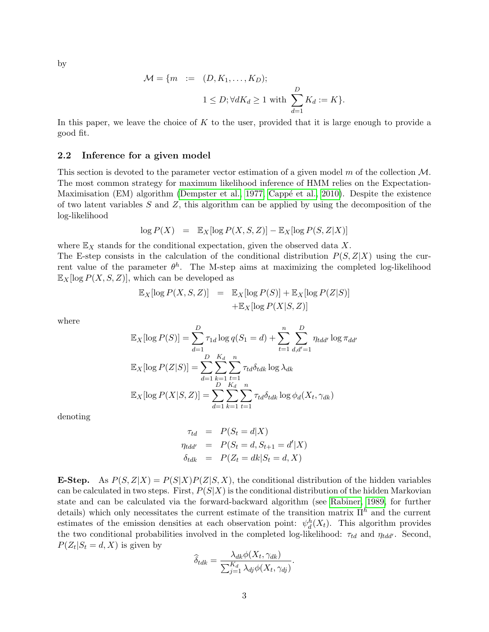by

$$
\mathcal{M} = \{ m \ := \ (D, K_1, \dots, K_D);
$$
  

$$
1 \le D; \forall dK_d \ge 1 \text{ with } \sum_{d=1}^D K_d := K \}.
$$

In this paper, we leave the choice of  $K$  to the user, provided that it is large enough to provide a good fit.

#### 2.2 Inference for a given model

This section is devoted to the parameter vector estimation of a given model m of the collection  $\mathcal{M}$ . The most common strategy for maximum likelihood inference of HMM relies on the Expectation-Maximisation (EM) algorithm [\(Dempster et al., 1977,](#page-13-4) Cappé et al., 2010). Despite the existence of two latent variables  $S$  and  $Z$ , this algorithm can be applied by using the decomposition of the log-likelihood

$$
\log P(X) = \mathbb{E}_X[\log P(X, S, Z)] - \mathbb{E}_X[\log P(S, Z|X)]
$$

where  $\mathbb{E}_X$  stands for the conditional expectation, given the observed data X.

The E-step consists in the calculation of the conditional distribution  $P(S, Z|X)$  using the current value of the parameter  $\theta^h$ . The M-step aims at maximizing the completed log-likelihood  $\mathbb{E}_X$ [log  $P(X, S, Z)$ ], which can be developed as

$$
\mathbb{E}_X[\log P(X, S, Z)] = \mathbb{E}_X[\log P(S)] + \mathbb{E}_X[\log P(Z|S)]
$$
  
 
$$
+ \mathbb{E}_X[\log P(X|S, Z)]
$$

where

$$
\mathbb{E}_{X}[\log P(S)] = \sum_{d=1}^{D} \tau_{1d} \log q(S_1 = d) + \sum_{t=1}^{n} \sum_{d,d'=1}^{D} \eta_{tdd'} \log \pi_{dd'}
$$

$$
\mathbb{E}_{X}[\log P(Z|S)] = \sum_{d=1}^{D} \sum_{\substack{k=1 \ k=1}}^{K_d} \sum_{t=1}^{n} \tau_{td} \delta_{tdk} \log \lambda_{dk}
$$

$$
\mathbb{E}_{X}[\log P(X|S, Z)] = \sum_{d=1}^{D} \sum_{k=1}^{K_d} \sum_{t=1}^{n} \tau_{td} \delta_{tdk} \log \phi_d(X_t, \gamma_{dk})
$$

denoting

$$
\tau_{td} = P(S_t = d|X)
$$
  
\n
$$
\eta_{tdd'} = P(S_t = d, S_{t+1} = d'|X)
$$
  
\n
$$
\delta_{tdk} = P(Z_t = dk|S_t = d, X)
$$

**E-Step.** As  $P(S, Z|X) = P(S|X)P(Z|S, X)$ , the conditional distribution of the hidden variables can be calculated in two steps. First,  $P(S|X)$  is the conditional distribution of the hidden Markovian state and can be calculated via the forward-backward algorithm (see [Rabiner, 1989,](#page-14-0) for further details) which only necessitates the current estimate of the transition matrix  $\Pi^h$  and the current estimates of the emission densities at each observation point:  $\psi_d^h(X_t)$ . This algorithm provides the two conditional probabilities involved in the completed log-likelihood:  $\tau_{td}$  and  $\eta_{tdd'}$ . Second,  $P(Z_t|S_t = d, X)$  is given by

$$
\widehat{\delta}_{tdk} = \frac{\lambda_{dk} \phi(X_t, \gamma_{dk})}{\sum_{j=1}^{K_d} \lambda_{dj} \phi(X_t, \gamma_{dj})}
$$

.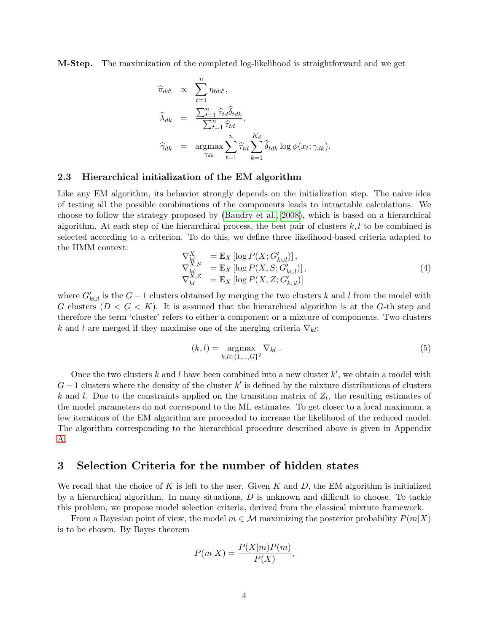M-Step. The maximization of the completed log-likelihood is straightforward and we get

$$
\begin{aligned}\n\widehat{\pi}_{dd'} &\propto \sum_{t=1}^{n} \eta_{tdd'}, \\
\widehat{\lambda}_{dk} &= \frac{\sum_{t=1}^{n} \widehat{\tau}_{td} \widehat{\delta}_{tdk}}{\sum_{t=1}^{n} \widehat{\tau}_{td}}, \\
\widehat{\gamma}_{dk} &= \operatorname*{argmax}_{\gamma_{dk}} \sum_{t=1}^{n} \widehat{\tau}_{td} \sum_{k=1}^{K_d} \widehat{\delta}_{tdk} \log \phi(x_t; \gamma_{dk}).\n\end{aligned}
$$

### <span id="page-3-0"></span>2.3 Hierarchical initialization of the EM algorithm

Like any EM algorithm, its behavior strongly depends on the initialization step. The naive idea of testing all the possible combinations of the components leads to intractable calculations. We choose to follow the strategy proposed by [\(Baudry et al., 2008\)](#page-13-2), which is based on a hierarchical algorithm. At each step of the hierarchical process, the best pair of clusters  $k, l$  to be combined is selected according to a criterion. To do this, we define three likelihood-based criteria adapted to the HMM context:

$$
\nabla_{kl}^X = \mathbb{E}_X \left[ \log P(X; G'_{k \cup l}) \right],
$$
  
\n
$$
\nabla_{kl}^{X,S} = \mathbb{E}_X \left[ \log P(X, S; G'_{k \cup l}) \right],
$$
  
\n
$$
\nabla_{kl}^{X,Z} = \mathbb{E}_X \left[ \log P(X, Z; G'_{k \cup l}) \right].
$$
\n(4)

where  $G'_{k\cup l}$  is the  $G-1$  clusters obtained by merging the two clusters k and l from the model with G clusters  $(D < G < K)$ . It is assumed that the hierarchical algorithm is at the G-th step and therefore the term 'cluster' refers to either a component or a mixture of components. Two clusters k and l are merged if they maximise one of the merging criteria  $\nabla_{kl}$ :

$$
(k,l) = \underset{k,l \in \{1,\ldots,G\}^2}{\text{argmax}} \nabla_{kl} . \tag{5}
$$

Once the two clusters k and l have been combined into a new cluster  $k'$ , we obtain a model with  $G-1$  clusters where the density of the cluster k' is defined by the mixture distributions of clusters k and l. Due to the constraints applied on the transition matrix of  $Z_t$ , the resulting estimates of the model parameters do not correspond to the ML estimates. To get closer to a local maximum, a few iterations of the EM algorithm are proceeded to increase the likelihood of the reduced model. The algorithm corresponding to the hierarchical procedure described above is given in Appendix [A.](#page-14-4)

### <span id="page-3-1"></span>3 Selection Criteria for the number of hidden states

We recall that the choice of K is left to the user. Given K and D, the EM algorithm is initialized by a hierarchical algorithm. In many situations,  $D$  is unknown and difficult to choose. To tackle this problem, we propose model selection criteria, derived from the classical mixture framework.

From a Bayesian point of view, the model  $m \in \mathcal{M}$  maximizing the posterior probability  $P(m|X)$ is to be chosen. By Bayes theorem

$$
P(m|X) = \frac{P(X|m)P(m)}{P(X)},
$$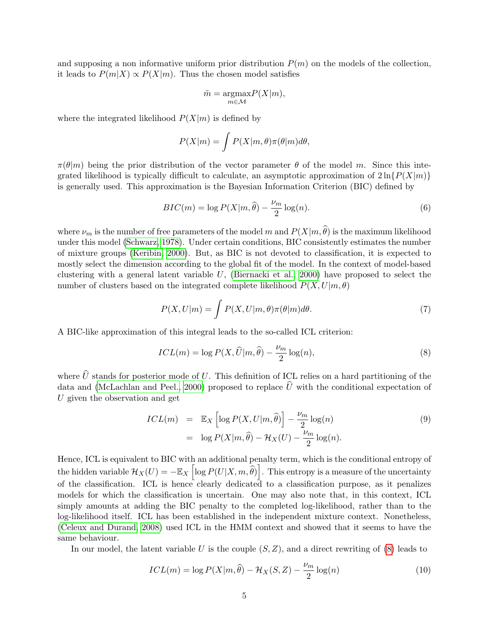and supposing a non informative uniform prior distribution  $P(m)$  on the models of the collection, it leads to  $P(m|X) \propto P(X|m)$ . Thus the chosen model satisfies

$$
\tilde{m} = \underset{m \in \mathcal{M}}{\operatorname{argmax}} P(X|m),
$$

where the integrated likelihood  $P(X|m)$  is defined by

$$
P(X|m) = \int P(X|m, \theta) \pi(\theta|m) d\theta,
$$

 $\pi(\theta|m)$  being the prior distribution of the vector parameter  $\theta$  of the model m. Since this integrated likelihood is typically difficult to calculate, an asymptotic approximation of  $2\ln\{P(X|m)\}\$ is generally used. This approximation is the Bayesian Information Criterion (BIC) defined by

<span id="page-4-1"></span>
$$
BIC(m) = \log P(X|m, \hat{\theta}) - \frac{\nu_m}{2} \log(n). \tag{6}
$$

where  $\nu_m$  is the number of free parameters of the model m and  $P(X|m, \hat{\theta})$  is the maximum likelihood under this model [\(Schwarz, 1978\)](#page-14-5). Under certain conditions, BIC consistently estimates the number of mixture groups [\(Keribin, 2000\)](#page-13-6). But, as BIC is not devoted to classification, it is expected to mostly select the dimension according to the global fit of the model. In the context of model-based clustering with a general latent variable  $U$ , [\(Biernacki et al., 2000\)](#page-13-7) have proposed to select the number of clusters based on the integrated complete likelihood  $P(X, U|m, \theta)$ 

$$
P(X, U|m) = \int P(X, U|m, \theta) \pi(\theta|m) d\theta.
$$
 (7)

A BIC-like approximation of this integral leads to the so-called ICL criterion:

<span id="page-4-0"></span>
$$
ICL(m) = \log P(X, \widehat{U}|m, \widehat{\theta}) - \frac{\nu_m}{2} \log(n), \tag{8}
$$

where  $\widehat{U}$  stands for posterior mode of U. This definition of ICL relies on a hard partitioning of the data and [\(McLachlan and Peel., 2000\)](#page-14-6) proposed to replace  $\hat{U}$  with the conditional expectation of U given the observation and get

$$
ICL(m) = \mathbb{E}_X \left[ \log P(X, U|m, \hat{\theta}) \right] - \frac{\nu_m}{2} \log(n)
$$
  
=  $\log P(X|m, \hat{\theta}) - \mathcal{H}_X(U) - \frac{\nu_m}{2} \log(n).$  (9)

Hence, ICL is equivalent to BIC with an additional penalty term, which is the conditional entropy of the hidden variable  $\mathcal{H}_X(U) = -\mathbb{E}_X\left[\log P(U|X,m,\widehat{\theta})\right]$ . This entropy is a measure of the uncertainty of the classification. ICL is hence clearly dedicated to a classification purpose, as it penalizes models for which the classification is uncertain. One may also note that, in this context, ICL simply amounts at adding the BIC penalty to the completed log-likelihood, rather than to the log-likelihood itself. ICL has been established in the independent mixture context. Nonetheless, [\(Celeux and Durand, 2008\)](#page-13-8) used ICL in the HMM context and showed that it seems to have the same behaviour.

In our model, the latent variable U is the couple  $(S, Z)$ , and a direct rewriting of  $(8)$  leads to

<span id="page-4-2"></span>
$$
ICL(m) = \log P(X|m, \hat{\theta}) - \mathcal{H}_X(S, Z) - \frac{\nu_m}{2} \log(n)
$$
\n(10)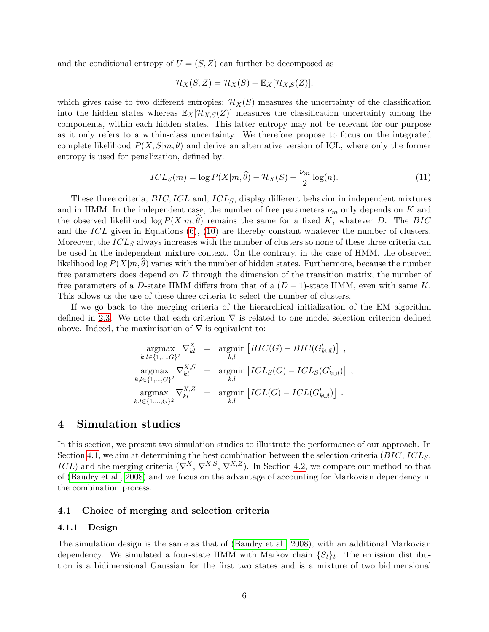and the conditional entropy of  $U = (S, Z)$  can further be decomposed as

$$
\mathcal{H}_X(S,Z) = \mathcal{H}_X(S) + \mathbb{E}_X[\mathcal{H}_{X,S}(Z)],
$$

which gives raise to two different entropies:  $\mathcal{H}_X(S)$  measures the uncertainty of the classification into the hidden states whereas  $\mathbb{E}_X[\mathcal{H}_{X,S}(Z)]$  measures the classification uncertainty among the components, within each hidden states. This latter entropy may not be relevant for our purpose as it only refers to a within-class uncertainty. We therefore propose to focus on the integrated complete likelihood  $P(X, S|m, \theta)$  and derive an alternative version of ICL, where only the former entropy is used for penalization, defined by:

$$
ICL_S(m) = \log P(X|m, \hat{\theta}) - \mathcal{H}_X(S) - \frac{\nu_m}{2} \log(n). \tag{11}
$$

These three criteria,  $BIC, ICL$  and,  $ICL<sub>S</sub>$ , display different behavior in independent mixtures and in HMM. In the independent case, the number of free parameters  $\nu_m$  only depends on K and the observed likelihood  $\log P(X|m, \theta)$  remains the same for a fixed K, whatever D. The BIC and the ICL given in Equations [\(6\)](#page-4-1), [\(10\)](#page-4-2) are thereby constant whatever the number of clusters. Moreover, the  $ICL<sub>S</sub>$  always increases with the number of clusters so none of these three criteria can be used in the independent mixture context. On the contrary, in the case of HMM, the observed likelihood log  $P(X|m,\theta)$  varies with the number of hidden states. Furthermore, because the number free parameters does depend on D through the dimension of the transition matrix, the number of free parameters of a D-state HMM differs from that of a  $(D-1)$ -state HMM, even with same K. This allows us the use of these three criteria to select the number of clusters.

If we go back to the merging criteria of the hierarchical initialization of the EM algorithm defined in [2.3.](#page-3-0) We note that each criterion  $\nabla$  is related to one model selection criterion defined above. Indeed, the maximisation of  $\nabla$  is equivalent to:

$$
\operatorname*{argmax}_{k,l \in \{1,\ldots,G\}^2} \nabla_{kl}^X = \operatorname*{argmin}_{k,l} \left[ BIC(G) - BIC(G'_{k \cup l}) \right],
$$
\n
$$
\operatorname*{argmax}_{k,l \in \{1,\ldots,G\}^2} \nabla_{kl}^{X,S} = \operatorname*{argmin}_{k,l} \left[ ICL_S(G) - ICL_S(G'_{k \cup l}) \right],
$$
\n
$$
\operatorname*{argmax}_{k,l \in \{1,\ldots,G\}^2} \nabla_{kl}^{X,Z} = \operatorname*{argmin}_{k,l} \left[ ICL(G) - ICL(G'_{k \cup l}) \right].
$$

### <span id="page-5-0"></span>4 Simulation studies

In this section, we present two simulation studies to illustrate the performance of our approach. In Section [4.1,](#page-5-1) we aim at determining the best combination between the selection criteria  $(BIC, ICL<sub>S</sub>)$  $ICL$ ) and the merging criteria  $(\nabla^X, \nabla^{X,S}, \nabla^{X,Z})$ . In Section [4.2,](#page-10-0) we compare our method to that of [\(Baudry et al., 2008\)](#page-13-2) and we focus on the advantage of accounting for Markovian dependency in the combination process.

### <span id="page-5-1"></span>4.1 Choice of merging and selection criteria

#### <span id="page-5-2"></span>4.1.1 Design

The simulation design is the same as that of [\(Baudry et al., 2008\)](#page-13-2), with an additional Markovian dependency. We simulated a four-state HMM with Markov chain  $\{S_t\}_t$ . The emission distribution is a bidimensional Gaussian for the first two states and is a mixture of two bidimensional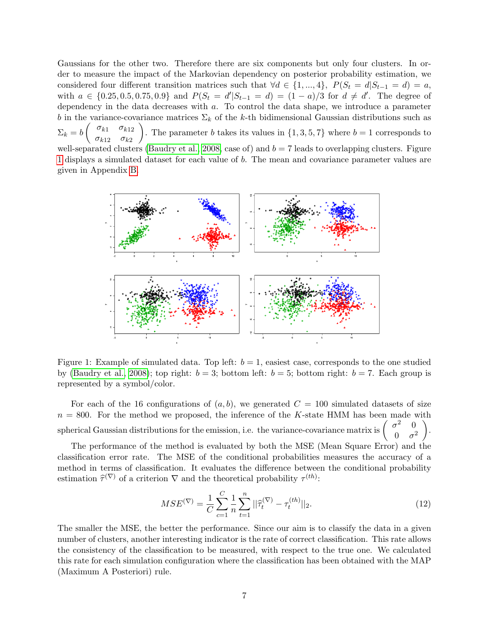Gaussians for the other two. Therefore there are six components but only four clusters. In order to measure the impact of the Markovian dependency on posterior probability estimation, we considered four different transition matrices such that  $\forall d \in \{1, ..., 4\}$ ,  $P(S_t = d | S_{t-1} = d) = a$ , with  $a \in \{0.25, 0.5, 0.75, 0.9\}$  and  $P(S_t = d' | S_{t-1} = d) = (1 - a)/3$  for  $d \neq d'$ . The degree of dependency in the data decreases with a. To control the data shape, we introduce a parameter b in the variance-covariance matrices  $\Sigma_k$  of the k-th bidimensional Gaussian distributions such as  $\Sigma_k = b \begin{pmatrix} \sigma_{k1} & \sigma_{k12} \\ \sigma_{k12} & \sigma_{k22} \end{pmatrix}$  $\sigma_{k12}$   $\sigma_{k2}$ ). The parameter b takes its values in  $\{1, 3, 5, 7\}$  where  $b = 1$  corresponds to well-separated clusters [\(Baudry et al., 2008,](#page-13-2) case of) and  $b = 7$  leads to overlapping clusters. Figure [1](#page-6-0) displays a simulated dataset for each value of b. The mean and covariance parameter values are given in Appendix [B.](#page-15-0)



<span id="page-6-0"></span>Figure 1: Example of simulated data. Top left:  $b = 1$ , easiest case, corresponds to the one studied by [\(Baudry et al., 2008\)](#page-13-2); top right:  $b = 3$ ; bottom left:  $b = 5$ ; bottom right:  $b = 7$ . Each group is represented by a symbol/color.

For each of the 16 configurations of  $(a, b)$ , we generated  $C = 100$  simulated datasets of size  $n = 800$ . For the method we proposed, the inference of the K-state HMM has been made with spherical Gaussian distributions for the emission, i.e. the variance-covariance matrix is  $\sigma^2 = 0$  $0 \quad \sigma^2$  $\setminus$ .

The performance of the method is evaluated by both the MSE (Mean Square Error) and the classification error rate. The MSE of the conditional probabilities measures the accuracy of a method in terms of classification. It evaluates the difference between the conditional probability estimation  $\hat{\tau}^{(\nabla)}$  of a criterion  $\nabla$  and the theoretical probability  $\tau^{(th)}$ :

$$
MSE^{(\nabla)} = \frac{1}{C} \sum_{c=1}^{C} \frac{1}{n} \sum_{t=1}^{n} ||\widehat{\tau}_t^{(\nabla)} - \tau_t^{(th)}||_2.
$$
\n(12)

The smaller the MSE, the better the performance. Since our aim is to classify the data in a given number of clusters, another interesting indicator is the rate of correct classification. This rate allows the consistency of the classification to be measured, with respect to the true one. We calculated this rate for each simulation configuration where the classification has been obtained with the MAP (Maximum A Posteriori) rule.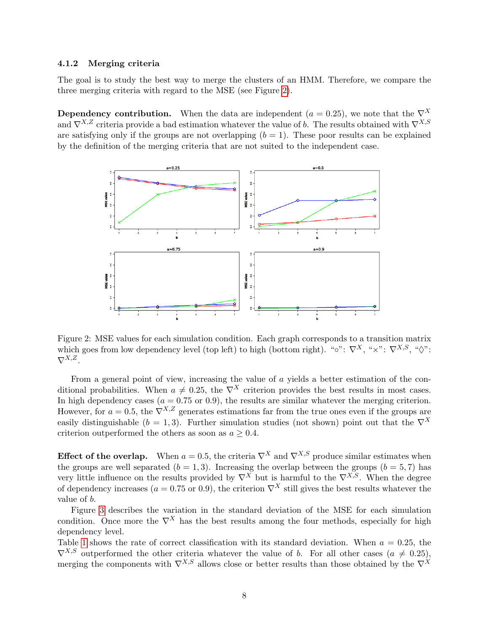#### <span id="page-7-1"></span>4.1.2 Merging criteria

The goal is to study the best way to merge the clusters of an HMM. Therefore, we compare the three merging criteria with regard to the MSE (see Figure [2\)](#page-7-0).

**Dependency contribution.** When the data are independent ( $a = 0.25$ ), we note that the  $\nabla^X$ and  $\nabla^{X,Z}$  criteria provide a bad estimation whatever the value of b. The results obtained with  $\nabla^{X,S}$ are satisfying only if the groups are not overlapping  $(b = 1)$ . These poor results can be explained by the definition of the merging criteria that are not suited to the independent case.



<span id="page-7-0"></span>Figure 2: MSE values for each simulation condition. Each graph corresponds to a transition matrix which goes from low dependency level (top left) to high (bottom right). "∘":  $\nabla^X$ , " $\times$ ":  $\nabla^{X,S}$ , " $\diamond$ ":  $\nabla^{X,Z}$ .

From a general point of view, increasing the value of a yields a better estimation of the conditional probabilities. When  $a \neq 0.25$ , the  $\nabla^{X}$  criterion provides the best results in most cases. In high dependency cases ( $a = 0.75$  or 0.9), the results are similar whatever the merging criterion. However, for  $a = 0.5$ , the  $\nabla^{X,Z}$  generates estimations far from the true ones even if the groups are easily distinguishable ( $b = 1, 3$ ). Further simulation studies (not shown) point out that the  $\nabla^X$ criterion outperformed the others as soon as  $a \geq 0.4$ .

Effect of the overlap. When  $a = 0.5$ , the criteria  $\nabla^X$  and  $\nabla^{X,S}$  produce similar estimates when the groups are well separated  $(b = 1, 3)$ . Increasing the overlap between the groups  $(b = 5, 7)$  has very little influence on the results provided by  $\nabla^{X}$  but is harmful to the  $\nabla^{X,S}$ . When the degree of dependency increases ( $a = 0.75$  or 0.9), the criterion  $\nabla^{X}$  still gives the best results whatever the value of b.

Figure [3](#page-8-0) describes the variation in the standard deviation of the MSE for each simulation condition. Once more the  $\nabla^X$  has the best results among the four methods, especially for high dependency level.

Table [1](#page-9-0) shows the rate of correct classification with its standard deviation. When  $a = 0.25$ , the  $\nabla^{X,S}$  outperformed the other criteria whatever the value of b. For all other cases  $(a \neq 0.25)$ , merging the components with  $\nabla^{X,S}$  allows close or better results than those obtained by the  $\nabla^{X}$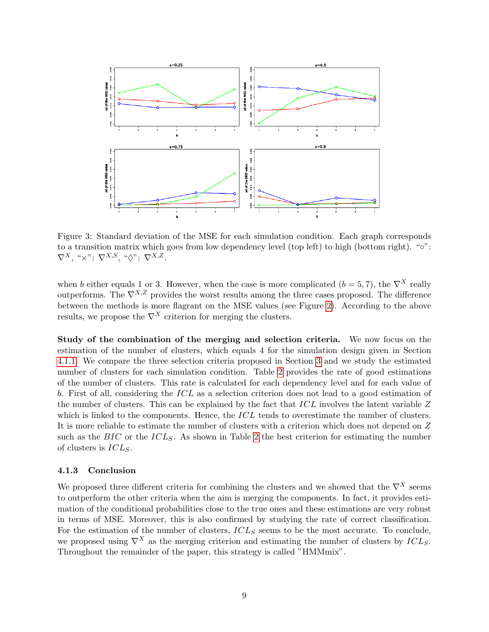

<span id="page-8-0"></span>Figure 3: Standard deviation of the MSE for each simulation condition. Each graph corresponds to a transition matrix which goes from low dependency level (top left) to high (bottom right). "∘":  $\nabla^X$ , " $\times$ ":  $\nabla^{X,S}$ , " $\diamondsuit$ ":  $\nabla^{X,Z}$ .

when b either equals 1 or 3. However, when the case is more complicated ( $b = 5, 7$ ), the  $\nabla^{X}$  really outperforms. The  $\nabla^{X,Z}$  provides the worst results among the three cases proposed. The difference between the methods is more flagrant on the MSE values (see Figure [2\)](#page-7-0). According to the above results, we propose the  $\nabla^X$  criterion for merging the clusters.

Study of the combination of the merging and selection criteria. We now focus on the estimation of the number of clusters, which equals 4 for the simulation design given in Section [4.1.1.](#page-5-2) We compare the three selection criteria proposed in Section [3](#page-3-1) and we study the estimated number of clusters for each simulation condition. Table [2](#page-9-1) provides the rate of good estimations of the number of clusters. This rate is calculated for each dependency level and for each value of b. First of all, considering the ICL as a selection criterion does not lead to a good estimation of the number of clusters. This can be explained by the fact that ICL involves the latent variable Z which is linked to the components. Hence, the ICL tends to overestimate the number of clusters. It is more reliable to estimate the number of clusters with a criterion which does not depend on Z such as the  $BIC$  or the  $ICL_S$ . As shown in Table [2](#page-9-1) the best criterion for estimating the number of clusters is  $ICL_S$ .

#### 4.1.3 Conclusion

We proposed three different criteria for combining the clusters and we showed that the  $\nabla^X$  seems to outperform the other criteria when the aim is merging the components. In fact, it provides estimation of the conditional probabilities close to the true ones and these estimations are very robust in terms of MSE. Moreover, this is also confirmed by studying the rate of correct classification. For the estimation of the number of clusters,  $ICL<sub>S</sub>$  seems to be the most accurate. To conclude, we proposed using  $\nabla^X$  as the merging criterion and estimating the number of clusters by  $ICL_S$ . Throughout the remainder of the paper, this strategy is called "HMMmix".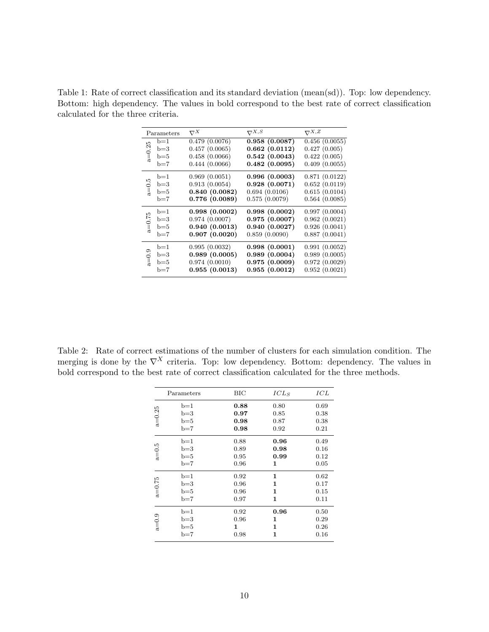<span id="page-9-0"></span>Table 1: Rate of correct classification and its standard deviation (mean(sd)). Top: low dependency. Bottom: high dependency. The values in bold correspond to the best rate of correct classification calculated for the three criteria.

| $\nabla^X$    | $\nabla^{X,S}$ | $\nabla^{X,Z}$                                  |
|---------------|----------------|-------------------------------------------------|
| 0.479(0.0076) | 0.958(0.0087)  | 0.456(0.0055)                                   |
| 0.457(0.0065) | 0.662(0.0112)  | 0.427(0.005)                                    |
| 0.458(0.0066) | 0.542(0.0043)  | 0.422(0.005)                                    |
| 0.444(0.0066) | 0.482(0.0095)  | 0.409(0.0055)                                   |
| 0.969(0.0051) |                | 0.871(0.0122)                                   |
| 0.913(0.0054) | 0.928(0.0071)  | 0.652(0.0119)                                   |
| 0.840(0.0082) | 0.694(0.0106)  | 0.615(0.0104)                                   |
| 0.776(0.0089) |                | 0.564(0.0085)                                   |
| 0.998(0.0002) |                | 0.997(0.0004)                                   |
| 0.974(0.0007) | 0.975(0.0007)  | 0.962(0.0021)                                   |
| 0.940(0.0013) | 0.940(0.0027)  | 0.926(0.0041)                                   |
| 0.907(0.0020) | 0.859(0.0090)  | 0.887(0.0041)                                   |
| 0.995(0.0032) | 0.998(0.0001)  | 0.991(0.0052)                                   |
| 0.989(0.0005) | 0.989(0.0004)  | 0.989(0.0005)                                   |
| 0.974(0.0010) | 0.975(0.0009)  | 0.972(0.0029)                                   |
| 0.955(0.0013) | 0.955(0.0012)  | 0.952(0.0021)                                   |
|               |                | 0.996(0.0003)<br>0.575(0.0079)<br>0.998(0.0002) |

<span id="page-9-1"></span>Table 2: Rate of correct estimations of the number of clusters for each simulation condition. The merging is done by the  $\nabla^X$  criteria. Top: low dependency. Bottom: dependency. The values in bold correspond to the best rate of correct classification calculated for the three methods.

|       | BIC        | $ICL_S$ | ICL  |
|-------|------------|---------|------|
| $b=1$ | 0.88       | 0.80    | 0.69 |
| $b=3$ | 0.97       | 0.85    | 0.38 |
| $b=5$ | 0.98       | 0.87    | 0.38 |
| $b=7$ | 0.98       | 0.92    | 0.21 |
| $b=1$ | 0.88       | 0.96    | 0.49 |
| $b=3$ | 0.89       | 0.98    | 0.16 |
| $b=5$ | 0.95       | 0.99    | 0.12 |
| $b=7$ | 0.96       | 1       | 0.05 |
| $b=1$ | 0.92       | 1       | 0.62 |
| $b=3$ | 0.96       | 1       | 0.17 |
| $b=5$ | 0.96       | 1       | 0.15 |
| $b=7$ | 0.97       | 1       | 0.11 |
| b=1   | 0.92       | 0.96    | 0.50 |
| $b=3$ | 0.96       | 1       | 0.29 |
| $b=5$ | 1          | 1       | 0.26 |
| $b=7$ | 0.98       | 1       | 0.16 |
|       | Parameters |         |      |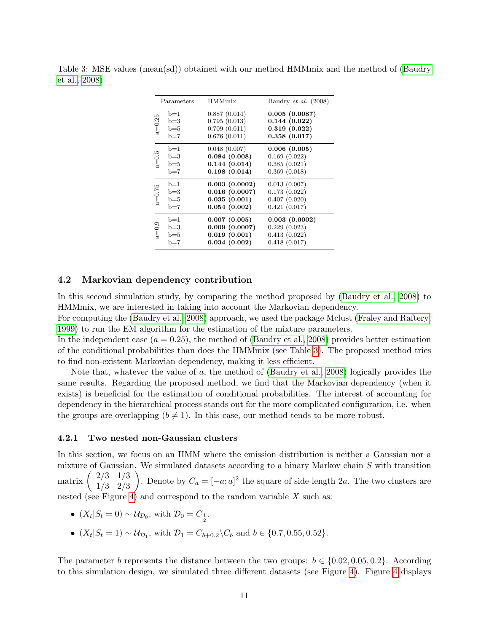| Parameters                                     | <b>HMMmix</b>                                                  | Baudry <i>et al.</i> $(2008)$                                      |
|------------------------------------------------|----------------------------------------------------------------|--------------------------------------------------------------------|
| $b=1$<br>$a = 0.25$<br>$b=3$<br>$b=5$<br>$b=7$ | 0.887(0.014)<br>0.795(0.013)<br>0.709(0.011)<br>0.676(0.011)   | 0.005(0.0087)<br>0.144(0.022)<br>0.319(0.022)<br>0.358(0.017)      |
| $b=1$<br>$a=0.5$<br>$b=3$<br>$b=5$<br>$b=7$    | 0.048(0.007)<br>0.084(0.008)<br>0.144(0.014)<br>0.198(0.014)   | 0.006(0.005)<br>0.169(0.022)<br>0.385(0.021)<br>0.369(0.018)       |
| $b=1$<br>$a = 0.75$<br>$b=3$<br>$b=5$<br>$b=7$ | 0.003(0.0002)<br>0.016(0.0007)<br>0.035(0.001)<br>0.054(0.002) | 0.013(0.007)<br>0.173(0.022)<br>0.407(0.020)<br>0.421(0.017)       |
| $b=1$<br>0.9<br>க<br>$b=3$<br>$b=5$<br>b=7     | 0.007(0.005)<br>0.009(0.0007)<br>0.019(0.001)<br>0.034(0.002)  | $0.003$ $(0.0002)$<br>0.229(0.023)<br>0.413(0.022)<br>0.418(0.017) |

<span id="page-10-1"></span>Table 3: MSE values (mean(sd)) obtained with our method HMMmix and the method of [\(Baudry](#page-13-2) [et al., 2008\)](#page-13-2)

#### <span id="page-10-0"></span>4.2 Markovian dependency contribution

In this second simulation study, by comparing the method proposed by [\(Baudry et al., 2008\)](#page-13-2) to HMMmix, we are interested in taking into account the Markovian dependency.

For computing the [\(Baudry et al., 2008\)](#page-13-2) approach, we used the package Mclust [\(Fraley and Raftery,](#page-13-9) [1999\)](#page-13-9) to run the EM algorithm for the estimation of the mixture parameters.

In the independent case  $(a = 0.25)$ , the method of [\(Baudry et al., 2008\)](#page-13-2) provides better estimation of the conditional probabilities than does the HMMmix (see Table [3\)](#page-10-1). The proposed method tries to find non-existent Markovian dependency, making it less efficient.

Note that, whatever the value of a, the method of [\(Baudry et al., 2008\)](#page-13-2) logically provides the same results. Regarding the proposed method, we find that the Markovian dependency (when it exists) is beneficial for the estimation of conditional probabilities. The interest of accounting for dependency in the hierarchical process stands out for the more complicated configuration, i.e. when the groups are overlapping  $(b \neq 1)$ . In this case, our method tends to be more robust.

### 4.2.1 Two nested non-Gaussian clusters

In this section, we focus on an HMM where the emission distribution is neither a Gaussian nor a mixture of Gaussian. We simulated datasets according to a binary Markov chain  $S$  with transition matrix  $\begin{pmatrix} 2/3 & 1/3 \\ 1/2 & 2/3 \end{pmatrix}$ 1/3 2/3 ). Denote by  $C_a = [-a; a]^2$  the square of side length 2a. The two clusters are nested (see Figure [4\)](#page-11-1) and correspond to the random variable  $X$  such as:

- $(X_t|S_t=0) \sim \mathcal{U}_{\mathcal{D}_0}$ , with  $\mathcal{D}_0 = C_{\frac{1}{2}}$ .
- $(X_t|S_t = 1) \sim \mathcal{U}_{\mathcal{D}_1}$ , with  $\mathcal{D}_1 = C_{b+0.2} \backslash C_b$  and  $b \in \{0.7, 0.55, 0.52\}.$

The parameter b represents the distance between the two groups:  $b \in \{0.02, 0.05, 0.2\}$ . According to this simulation design, we simulated three different datasets (see Figure [4\)](#page-11-1). Figure [4](#page-11-1) displays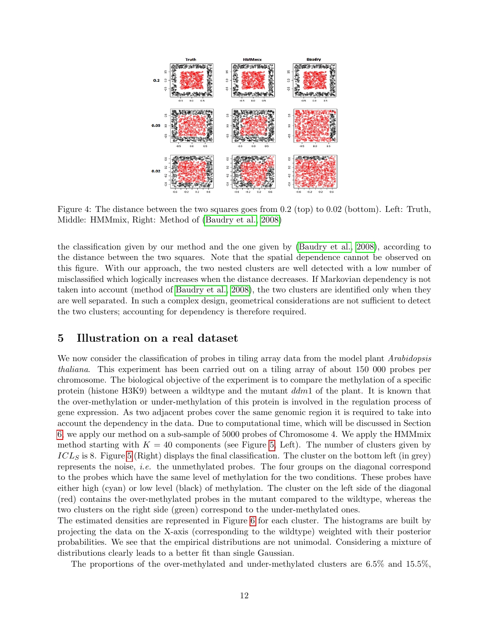

<span id="page-11-1"></span>Figure 4: The distance between the two squares goes from 0.2 (top) to 0.02 (bottom). Left: Truth, Middle: HMMmix, Right: Method of [\(Baudry et al., 2008\)](#page-13-2)

the classification given by our method and the one given by [\(Baudry et al., 2008\)](#page-13-2), according to the distance between the two squares. Note that the spatial dependence cannot be observed on this figure. With our approach, the two nested clusters are well detected with a low number of misclassified which logically increases when the distance decreases. If Markovian dependency is not taken into account (method of [Baudry et al., 2008\)](#page-13-2), the two clusters are identified only when they are well separated. In such a complex design, geometrical considerations are not sufficient to detect the two clusters; accounting for dependency is therefore required.

### <span id="page-11-0"></span>5 Illustration on a real dataset

We now consider the classification of probes in tiling array data from the model plant Arabidopsis thaliana. This experiment has been carried out on a tiling array of about 150 000 probes per chromosome. The biological objective of the experiment is to compare the methylation of a specific protein (histone H3K9) between a wildtype and the mutant ddm1 of the plant. It is known that the over-methylation or under-methylation of this protein is involved in the regulation process of gene expression. As two adjacent probes cover the same genomic region it is required to take into account the dependency in the data. Due to computational time, which will be discussed in Section [6,](#page-12-0) we apply our method on a sub-sample of 5000 probes of Chromosome 4. We apply the HMMmix method starting with  $K = 40$  components (see Figure [5,](#page-12-1) Left). The number of clusters given by  $ICL<sub>S</sub>$  is 8. Figure [5](#page-12-1) (Right) displays the final classification. The cluster on the bottom left (in grey) represents the noise, *i.e.* the unmethylated probes. The four groups on the diagonal correspond to the probes which have the same level of methylation for the two conditions. These probes have either high (cyan) or low level (black) of methylation. The cluster on the left side of the diagonal (red) contains the over-methylated probes in the mutant compared to the wildtype, whereas the two clusters on the right side (green) correspond to the under-methylated ones.

The estimated densities are represented in Figure [6](#page-12-2) for each cluster. The histograms are built by projecting the data on the X-axis (corresponding to the wildtype) weighted with their posterior probabilities. We see that the empirical distributions are not unimodal. Considering a mixture of distributions clearly leads to a better fit than single Gaussian.

The proportions of the over-methylated and under-methylated clusters are 6.5% and 15.5%,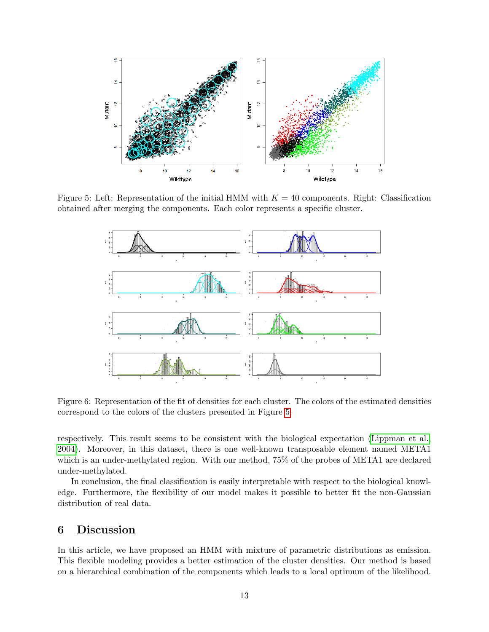

Figure 5: Left: Representation of the initial HMM with  $K = 40$  components. Right: Classification obtained after merging the components. Each color represents a specific cluster.

<span id="page-12-1"></span>

<span id="page-12-2"></span>Figure 6: Representation of the fit of densities for each cluster. The colors of the estimated densities correspond to the colors of the clusters presented in Figure [5.](#page-12-1)

respectively. This result seems to be consistent with the biological expectation [\(Lippman et al.,](#page-14-7) [2004\)](#page-14-7). Moreover, in this dataset, there is one well-known transposable element named META1 which is an under-methylated region. With our method, 75% of the probes of META1 are declared under-methylated.

In conclusion, the final classification is easily interpretable with respect to the biological knowledge. Furthermore, the flexibility of our model makes it possible to better fit the non-Gaussian distribution of real data.

## <span id="page-12-0"></span>6 Discussion

In this article, we have proposed an HMM with mixture of parametric distributions as emission. This flexible modeling provides a better estimation of the cluster densities. Our method is based on a hierarchical combination of the components which leads to a local optimum of the likelihood.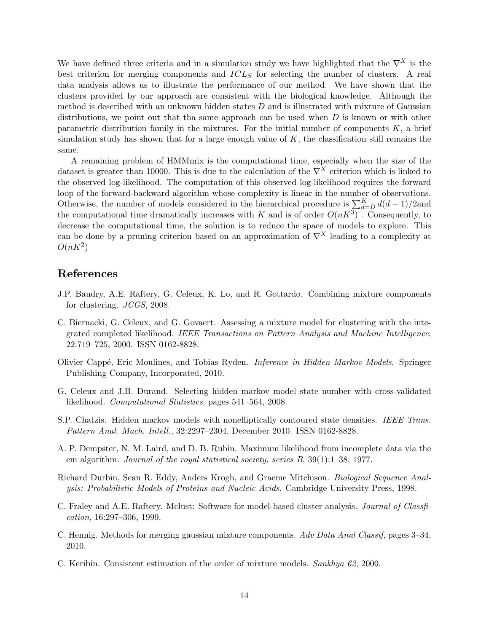We have defined three criteria and in a simulation study we have highlighted that the  $\nabla^X$  is the best criterion for merging components and  $ICL<sub>S</sub>$  for selecting the number of clusters. A real data analysis allows us to illustrate the performance of our method. We have shown that the clusters provided by our approach are consistent with the biological knowledge. Although the method is described with an unknown hidden states  $D$  and is illustrated with mixture of Gaussian distributions, we point out that tha same approach can be used when  $D$  is known or with other parametric distribution family in the mixtures. For the initial number of components  $K$ , a brief simulation study has shown that for a large enough value of  $K$ , the classification still remains the same.

A remaining problem of HMMmix is the computational time, especially when the size of the dataset is greater than 10000. This is due to the calculation of the  $\nabla^{X}$  criterion which is linked to the observed log-likelihood. The computation of this observed log-likelihood requires the forward loop of the forward-backward algorithm whose complexity is linear in the number of observations. Otherwise, the number of models considered in the hierarchical procedure is  $\sum_{d=D}^{K} d(d-1)/2$  and the computational time dramatically increases with K and is of order  $O(nK^3)$ . Consequently, to decrease the computational time, the solution is to reduce the space of models to explore. This can be done by a pruning criterion based on an approximation of  $\nabla^{X}$  leading to a complexity at  $O(nK^2)$ 

## References

- <span id="page-13-2"></span>J.P. Baudry, A.E. Raftery, G. Celeux, K. Lo, and R. Gottardo. Combining mixture components for clustering. JCGS, 2008.
- <span id="page-13-7"></span>C. Biernacki, G. Celeux, and G. Govaert. Assessing a mixture model for clustering with the integrated completed likelihood. IEEE Transactions on Pattern Analysis and Machine Intelligence, 22:719–725, 2000. ISSN 0162-8828.
- <span id="page-13-5"></span>Olivier Capp´e, Eric Moulines, and Tobias Ryden. Inference in Hidden Markov Models. Springer Publishing Company, Incorporated, 2010.
- <span id="page-13-8"></span>G. Celeux and J.B. Durand. Selecting hidden markov model state number with cross-validated likelihood. Computational Statistics, pages 541–564, 2008.
- <span id="page-13-1"></span>S.P. Chatzis. Hidden markov models with nonelliptically contoured state densities. IEEE Trans. Pattern Anal. Mach. Intell., 32:2297–2304, December 2010. ISSN 0162-8828.
- <span id="page-13-4"></span>A. P. Dempster, N. M. Laird, and D. B. Rubin. Maximum likelihood from incomplete data via the em algorithm. Journal of the royal statistical society, series B, 39(1):1–38, 1977.
- <span id="page-13-0"></span>Richard Durbin, Sean R. Eddy, Anders Krogh, and Graeme Mitchison. Biological Sequence Analysis: Probabilistic Models of Proteins and Nucleic Acids. Cambridge University Press, 1998.
- <span id="page-13-9"></span>C. Fraley and A.E. Raftery. Mclust: Software for model-based cluster analysis. Journal of Classfication, 16:297–306, 1999.
- <span id="page-13-3"></span>C. Hennig. Methods for merging gaussian mixture components. Adv Data Anal Classif, pages 3–34, 2010.
- <span id="page-13-6"></span>C. Keribin. Consistent estimation of the order of mixture models. Sankhya 62, 2000.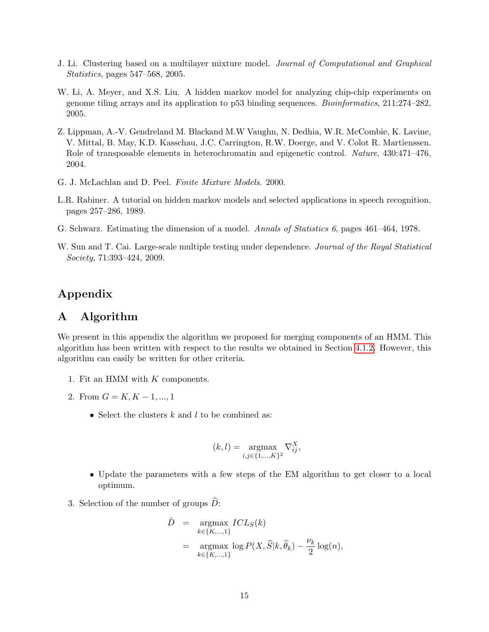- <span id="page-14-3"></span>J. Li. Clustering based on a multilayer mixture model. Journal of Computational and Graphical Statistics, pages 547–568, 2005.
- <span id="page-14-2"></span>W. Li, A. Meyer, and X.S. Liu. A hidden markov model for analyzing chip-chip experiments on genome tiling arrays and its application to p53 binding sequences. Bioinformatics, 211:274–282, 2005.
- <span id="page-14-7"></span>Z. Lippman, A.-V. Gendreland M. Blackand M.W Vaughn, N. Dedhia, W.R. McCombie, K. Lavine, V. Mittal, B. May, K.D. Kasschau, J.C. Carrington, R.W. Doerge, and V. Colot R. Martienssen. Role of transposable elements in heterochromatin and epigenetic control. Nature, 430:471–476, 2004.
- <span id="page-14-6"></span>G. J. McLachlan and D. Peel. Finite Mixture Models. 2000.
- <span id="page-14-0"></span>L.R. Rabiner. A tutorial on hidden markov models and selected applications in speech recognition. pages 257–286, 1989.
- <span id="page-14-5"></span>G. Schwarz. Estimating the dimension of a model. Annals of Statistics 6, pages 461–464, 1978.
- <span id="page-14-1"></span>W. Sun and T. Cai. Large-scale multiple testing under dependence. Journal of the Royal Statistical Society, 71:393–424, 2009.

# Appendix

## <span id="page-14-4"></span>A Algorithm

We present in this appendix the algorithm we proposed for merging components of an HMM. This algorithm has been written with respect to the results we obtained in Section [4.1.2.](#page-7-1) However, this algorithm can easily be written for other criteria.

- 1. Fit an HMM with K components.
- 2. From  $G = K, K 1, ..., 1$ 
	- Select the clusters  $k$  and  $l$  to be combined as:

$$
(k,l) = \underset{i,j \in \{1,\dots,K\}^2}{\text{argmax}} \nabla_{ij}^X,
$$

- Update the parameters with a few steps of the EM algorithm to get closer to a local optimum.
- 3. Selection of the number of groups  $D$ :

$$
\hat{D} = \underset{k \in \{K, ..., 1\}}{\operatorname{argmax}} \; ICL_S(k) \n= \underset{k \in \{K, ..., 1\}}{\operatorname{argmax}} \; \log P(X, \hat{S}|k, \hat{\theta}_k) - \frac{\nu_k}{2} \log(n),
$$